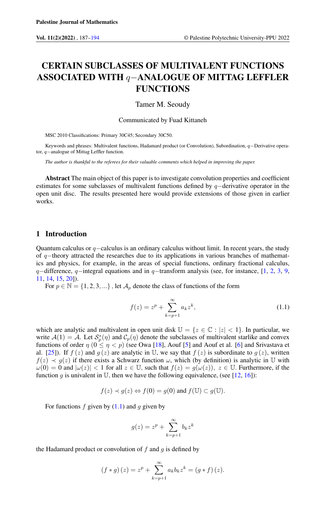# CERTAIN SUBCLASSES OF MULTIVALENT FUNCTIONS ASSOCIATED WITH q−ANALOGUE OF MITTAG LEFFLER FUNCTIONS

Tamer M. Seoudy

Communicated by Fuad Kittaneh

MSC 2010 Classifications: Primary 30C45; Secondary 30C50.

Keywords and phrases: Multivalent functions, Hadamard product (or Convolution), Subordination, q−Derivative operator, q−analogue of Mittag Leffler function.

*The author is thankful to the referees for their valuable comments which helped in improving the paper.*

Abstract The main object of this paper is to investigate convolution properties and coefficient estimates for some subclasses of multivalent functions defined by q−derivative operator in the open unit disc. The results presented here would provide extensions of those given in earlier works.

## 1 Introduction

Quantum calculus or  $q$ −calculus is an ordinary calculus without limit. In recent years, the study of q−theory attracted the researches due to its applications in various branches of mathematics and physics, for example, in the areas of special functions, ordinary fractional calculus, q−difference, q−integral equations and in q−transform analysis (see, for instance, [\[1,](#page-6-1) [2,](#page-6-2) [3,](#page-6-3) [9,](#page-7-0) [11,](#page-7-1) [14,](#page-7-2) [15,](#page-7-3) [20\]](#page-7-4)).

For  $p \in \mathbb{N} = \{1, 2, 3, ...\}$ , let  $\mathcal{A}_p$  denote the class of functions of the form

<span id="page-0-0"></span>
$$
f(z) = z^{p} + \sum_{k=p+1}^{\infty} a_{k} z^{k},
$$
\n(1.1)

which are analytic and multivalent in open unit disk  $\mathbb{U} = \{z \in \mathbb{C} : |z| < 1\}$ . In particular, we write  $A(1) = A$ . Let  $S_p^*(\eta)$  and  $C_p(\eta)$  denote the subclasses of multivalent starlike and convex functions of order  $\eta$  ( $0 \le \eta < p$ ) (see Owa [\[18\]](#page-7-5), Aouf [\[5\]](#page-7-6) and Aouf et al. [\[6\]](#page-7-7) and Srivastava et al. [\[25\]](#page-7-8)). If  $f(z)$  and  $g(z)$  are analytic in U, we say that  $f(z)$  is subordinate to  $g(z)$ , written  $f(z) \prec g(z)$  if there exists a Schwarz function  $\omega$ , which (by definition) is analytic in U with  $\omega(0) = 0$  and  $|\omega(z)| < 1$  for all  $z \in \mathbb{U}$ , such that  $f(z) = g(\omega(z))$ ,  $z \in \mathbb{U}$ . Furthermore, if the function g is univalent in U, then we have the following equivalence, (see  $[12, 16]$  $[12, 16]$  $[12, 16]$ ):

$$
f(z) \prec g(z) \Leftrightarrow f(0) = g(0)
$$
 and  $f(\mathbb{U}) \subset g(\mathbb{U})$ .

For functions  $f$  given by  $(1.1)$  and  $g$  given by

$$
g(z) = zp + \sum_{k=p+1}^{\infty} b_k z^k
$$

the Hadamard product or convolution of  $f$  and  $g$  is defined by

$$
(f * g)(z) = zp + \sum_{k=p+1}^{\infty} a_k b_k z^k = (g * f)(z).
$$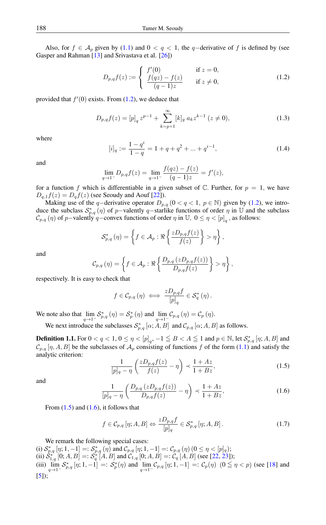Also, for  $f \in A_p$  given by [\(1.1\)](#page-0-0) and  $0 < q < 1$ , the q-derivative of f is defined by (see Gasper and Rahman [\[13\]](#page-7-11) and Srivastava et al. [\[26\]](#page-7-12))

<span id="page-1-0"></span>
$$
D_{p,q}f(z) := \begin{cases} f'(0) & \text{if } z = 0, \\ \frac{f(qz) - f(z)}{(q-1)z} & \text{if } z \neq 0, \end{cases}
$$
 (1.2)

provided that  $f'(0)$  exists. From  $(1.2)$ , we deduce that

$$
D_{p,q}f(z) = [p]_q z^{p-1} + \sum_{k=p+1}^{\infty} [k]_q a_k z^{k-1} (z \neq 0), \qquad (1.3)
$$

where

$$
[i]_q := \frac{1 - q^i}{1 - q} = 1 + q + q^2 + \dots + q^{i-1},\tag{1.4}
$$

and

$$
\lim_{q \to 1^{-}} D_{p,q} f(z) = \lim_{q \to 1^{-}} \frac{f(qz) - f(z)}{(q-1)z} = f'(z),
$$

for a function f which is differentiable in a given subset of  $\mathbb C$ . Further, for  $p = 1$ , we have  $D_{q,1}f(z) = D_qf(z)$  (see Seoudy and Aouf [\[22\]](#page-7-13)).

Making use of the q−derivative operator  $D_{p,q}$  (0 < q < 1, p ∈ N) given by [\(1.2\)](#page-1-0), we introduce the subclass  $S_{p,q}^*(\eta)$  of p-valently q-starlike functions of order  $\eta$  in U and the subclass  $\mathcal{C}_{p,q}(\eta)$  of p−valently q−convex functions of order  $\eta$  in  $\mathbb{U}$ ,  $0 \leq \eta < [p]_q$ , as follows:

$$
\mathcal{S}_{p,q}^*(\eta) = \left\{ f \in \mathcal{A}_p : \Re \left\{ \frac{z D_{p,q} f(z)}{f(z)} \right\} > \eta \right\},\
$$

and

$$
C_{p,q}(\eta) = \left\{ f \in \mathcal{A}_p : \Re \left\{ \frac{D_{p,q}(zD_{p,q}f(z))}{D_{p,q}f(z)} \right\} > \eta \right\},\,
$$

respectively. It is easy to check that

$$
f\in \mathcal{C}_{p,q}\left(\eta\right) \iff \frac{z D_{p,q}f}{\left[p\right]_q}\in \mathcal{S}_q^*\left(\eta\right).
$$

We note also that  $\lim_{q \to 1^-} S_{p,q}^* (\eta) = S_p^* (\eta)$  and  $\lim_{q \to 1^-} C_{p,q} (\eta) = C_p (\eta)$ .

We next introduce the subclasses  $S_{p,q}^* [\alpha; A, B]$  and  $\mathcal{C}_{p,q} [\alpha; A, B]$  as follows.

**Definition 1.1.** For  $0 < q < 1$ ,  $0 \le \eta < [p]_q$ ,  $-1 \le B < A \le 1$  and  $p \in \mathbb{N}$ , let  $\mathcal{S}_{p,q}^*$   $[\eta;A,B]$  and  $\mathcal{C}_{p,q}[\eta, A, B]$  be the subclasses of  $\mathcal{A}_p$  consisting of functions f of the form [\(1.1\)](#page-0-0) and satisfy the analytic criterion:

<span id="page-1-1"></span>
$$
\frac{1}{[p]_q - \eta} \left( \frac{z D_{p,q} f(z)}{f(z)} - \eta \right) \prec \frac{1 + Az}{1 + Bz},\tag{1.5}
$$

<span id="page-1-2"></span>and

$$
\frac{1}{[p]_q - \eta} \left( \frac{D_{p,q} (z D_{p,q} f(z))}{D_{p,q} f(z)} - \eta \right) \prec \frac{1 + Az}{1 + Bz},\tag{1.6}
$$

From  $(1.5)$  and  $(1.6)$ , it follows that

<span id="page-1-3"></span>
$$
f \in \mathcal{C}_{p,q}[\eta; A, B] \Leftrightarrow \frac{z D_{p,q} f}{[p]_q} \in \mathcal{S}_{p,q}^*[\eta; A, B]. \tag{1.7}
$$

We remark the following special cases:

(i)  $S_{p,q}^* [\eta; 1, -1] =: S_{p,q}^* (\eta)$  and  $C_{p,q} [\eta; 1, -1] =: C_{p,q} (\eta) (0 \leq \eta < [p]_q);$ (ii)  $\hat{S}_{1,q}^{*}$  [0; A, B] =:  $\hat{S}_{q}^{*}$  [A, B] and  $\mathcal{C}_{1,q}$  [0; A, B] =:  $\mathcal{C}_{q}$  [A, B] (see [\[22,](#page-7-13) [23\]](#page-7-14)); (iii)  $\lim_{q \to 1^-} S_{p,q}^* [\eta; 1, -1] =: S_p^*(\eta)$  and  $\lim_{q \to 1^-} C_{p,q} [\eta; 1, -1] =: C_p(\eta)$   $(0 \le \eta < p)$  (see [\[18\]](#page-7-5) and  $[5]$ ;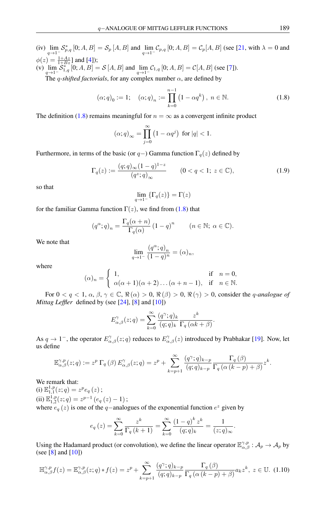(iv)  $\lim_{q \to 1^{-}} S_{p,q}^{*} [0; A, B] = S_p [A, B]$  and  $\lim_{q \to 1^{-}} C_{p,q} [0; A, B] = C_p [A, B]$  (see [\[21,](#page-7-15) with  $\lambda = 0$  and  $\phi(z) = \frac{1+Az}{1+Bz}$  and [\[4\]](#page-6-4)); (v)  $\lim_{q \to 1^-} S^*_{1,q} [0; A, B] = S [A, B]$  and  $\lim_{q \to 1^-} C_{1,q} [0; A, B] = C [A, B]$  (see [\[7\]](#page-7-16)).

The *q*-shifted factorials, for any complex number  $\alpha$ , are defined by

$$
(\alpha;q)_0 := 1; \quad (\alpha;q)_n := \prod_{k=0}^{n-1} (1 - \alpha q^k), \ n \in \mathbb{N}.
$$
 (1.8)

The definition [\(1.8\)](#page-2-0) remains meaningful for  $n = \infty$  as a convergent infinite product

<span id="page-2-0"></span>
$$
(\alpha;q)_{\infty} = \prod_{j=0}^{\infty} \left(1 - \alpha q^j\right) \text{ for } |q| < 1.
$$

Furthermore, in terms of the basic (or  $q$  –) Gamma function  $\Gamma_q(z)$  defined by

$$
\Gamma_q(z) := \frac{(q;q)_{\infty}(1-q)^{1-z}}{(q^z;q)_{\infty}} \qquad (0 < q < 1; \ z \in \mathbb{C}), \tag{1.9}
$$

so that

$$
\lim_{q \to 1^-} \{\Gamma_q(z)\} = \Gamma(z)
$$

for the familiar Gamma function  $\Gamma(z)$ , we find from [\(1.8\)](#page-2-0) that

$$
(q^{\alpha};q)_n = \frac{\Gamma_q(\alpha+n)}{\Gamma_q(\alpha)} (1-q)^n \qquad (n \in \mathbb{N}; \ \alpha \in \mathbb{C}).
$$

We note that

$$
\lim_{q \to 1^{-}} \frac{(q^{\alpha}; q)_n}{(1-q)^n} = (\alpha)_n,
$$

where

$$
(\alpha)_n = \begin{cases} 1, & \text{if } n = 0, \\ \alpha(\alpha + 1)(\alpha + 2) \dots (\alpha + n - 1), & \text{if } n \in \mathbb{N}. \end{cases}
$$

For  $0 < q < 1$ ,  $\alpha$ ,  $\beta$ ,  $\gamma \in \mathbb{C}$ ,  $\Re(\alpha) > 0$ ,  $\Re(\beta) > 0$ ,  $\Re(\gamma) > 0$ , consider the *q-analogue of Mittag Leffler* defined by (see [\[24\]](#page-7-17), [\[8\]](#page-7-18) and [\[10\]](#page-7-19))

$$
E_{\alpha,\beta}^{\gamma}(z;q) = \sum_{k=0}^{\infty} \frac{(q^{\gamma};q)_k}{(q;q)_k} \frac{z^k}{\Gamma_q(\alpha k + \beta)}.
$$

As  $q \to 1^-$ , the operator  $E_{\alpha,\beta}^{\gamma}(z;q)$  reduces to  $E_{\alpha,\beta}^{\gamma}(z)$  introduced by Prabhakar [\[19\]](#page-7-20). Now, let us define

$$
\mathbb{E}_{\alpha,\beta}^{\gamma,p}(z;q) := z^p \Gamma_q(\beta) E_{\alpha,\beta}^{\gamma}(z;q) = z^p + \sum_{k=p+1}^{\infty} \frac{(q^{\gamma};q)_{k-p}}{(q;q)_{k-p}} \frac{\Gamma_q(\beta)}{\Gamma_q(\alpha(k-p)+\beta)} z^k.
$$

We remark that:

(i)  $\mathbb{E}_{1,1}^{1,p}(z;q) = z^p e_q(z);$ (ii)  $\mathbb{E}_{1,2}^{1,p}(z;q) = z^{p-1} (e_q(z) - 1);$ where  $e_q(z)$  is one of the q−analogues of the exponential function  $e^z$  given by

$$
e_q(z) = \sum_{k=0}^{\infty} \frac{z^k}{\Gamma_q(k+1)} = \sum_{k=0}^{\infty} \frac{(1-q)^k z^k}{(q;q)_k} = \frac{1}{(z;q)_{\infty}}.
$$

Using the Hadamard product (or convolution), we define the linear operator  $\mathbb{E}_{\alpha,\beta}^{\gamma,p}$  :  $\mathcal{A}_p \to \mathcal{A}_p$  by (see [\[8\]](#page-7-18) and [\[10\]](#page-7-19))

$$
\mathbb{H}_{\alpha,\beta}^{\gamma,p}f(z) = \mathbb{E}_{\alpha,\beta}^{\gamma,p}(z;q) * f(z) = z^p + \sum_{k=p+1}^{\infty} \frac{(q^{\gamma};q)_{k-p}}{(q;q)_{k-p}} \frac{\Gamma_q(\beta)}{\Gamma_q(\alpha(k-p)+\beta)} a_k z^k, \ z \in \mathbb{U}. \tag{1.10}
$$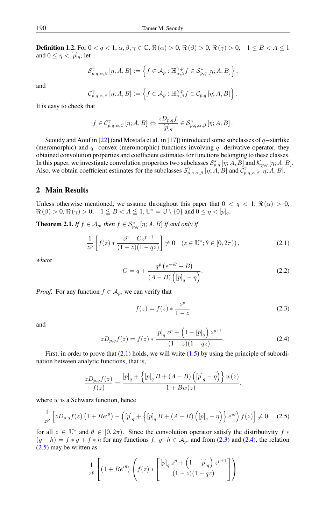<span id="page-3-6"></span>**Definition 1.2.** For  $0 < q < 1$ ,  $\alpha, \beta, \gamma \in \mathbb{C}$ ,  $\Re(\alpha) > 0$ ,  $\Re(\beta) > 0$ ,  $\Re(\gamma) > 0$ ,  $-1 \leq B < A \leq 1$ and  $0 \leq \eta < [p]_q$ , let

$$
\mathcal{S}_{p,q,\alpha,\beta}^{\gamma}\left[\eta;A,B\right]:=\left\{f\in\mathcal{A}_{p}:\mathbb{H}_{\alpha,\beta}^{\gamma,p}f\in\mathcal{S}_{p,q}^{*}\left[\eta;A,B\right]\right\},\right
$$

and

$$
_{p,q,\alpha,\beta}^{\gamma}\left[\eta;A,B\right]:=\left\{ f\in\mathcal{A}_{p}:\mathbb{H}_{\alpha,\beta}^{\gamma,p}f\in\mathcal{C}_{p,q}\left[\eta;A,B\right]\right\} .
$$

It is easy to check that

 $\mathcal{C}$ 

$$
f\in \mathcal{C}_{p,q,\alpha,\beta}^{\gamma}\left[\eta;A,B\right]\Leftrightarrow\frac{zD_{p,q}f}{\left[p\right]_{q}}\in \mathcal{S}_{p,q,\alpha,\beta}^{\gamma}\left[\eta;A,B\right].
$$

Seoudy and Aouf in [\[22\]](#page-7-13) (and Mostafa et al. in [\[17\]](#page-7-21)) introduced some subclasses of q–starlike (meromorphic) and q−convex (meromorphic) functions involving q−derivative operator, they obtained convolution properties and coefficient estimates for functions belonging to these classes. In this paper, we investigate convolution properties two subclasses  $\mathcal{S}_{p,q}^*$  [ $\eta; A, B$ ] and  $\mathcal{K}_{p,q}$  [ $\eta; A, B$ ]. Also, we obtain coefficient estimates for the subclasses  $S_{p,q,\alpha,\beta}^{\gamma}[\eta;A,B]$  and  $\tilde{C}_{p,q,\alpha,\beta}^{\gamma}[\eta;A,B]$ .

### 2 Main Results

Unless otherwise mentioned, we assume throughout this paper that  $0 < q < 1$ ,  $\Re(\alpha) > 0$ ,  $\Re(\beta) > 0$ ,  $\Re(\gamma) > 0$ ,  $-1 \leq B < A \leq 1$ ,  $\mathbb{U}^* = \mathbb{U} \setminus \{0\}$  and  $0 \leq \eta < [p]_q$ .

<span id="page-3-4"></span>**Theorem 2.1.** *If*  $f \in A_p$ , then  $f \in S_{p,q}^*$  [ $\eta$ ; A, B] *if and only if* 

$$
\frac{1}{z^p} \left[ f(z) * \frac{z^p - C z^{p+1}}{(1 - z)(1 - qz)} \right] \neq 0 \quad (z \in \mathbb{U}^*; \theta \in [0, 2\pi)), \tag{2.1}
$$

<span id="page-3-5"></span>*where*

<span id="page-3-0"></span>
$$
C = q + \frac{q^{p} (e^{-i\theta} + B)}{(A - B) (p|_{q} - \eta)}.
$$
\n(2.2)

*Proof.* For any function  $f \in A_p$ , we can verify that

<span id="page-3-1"></span>
$$
f(z) = f(z) * \frac{z^p}{1 - z}
$$
 (2.3)

<span id="page-3-2"></span>and

$$
zD_{p,q}f(z) = f(z) * \frac{[p]_q z^p + (1 - [p]_q) z^{p+1}}{(1 - z)(1 - qz)}.
$$
 (2.4)

First, in order to prove that  $(2.1)$  holds, we will write  $(1.5)$  by using the principle of subordination between analytic functions, that is,

<span id="page-3-3"></span>
$$
\frac{zD_{p,q}f(z)}{f(z)} = \frac{[p]_q + \left\{ [p]_q B + (A-B) \left( [p]_q - \eta \right) \right\} w(z)}{1 + Bw(z)},
$$

where  $w$  is a Schwarz function, hence

$$
\frac{1}{z^p} \left[ z D_{p,q} f(z) \left( 1 + B e^{i\theta} \right) - \left( [p]_q + \left\{ [p]_q B + (A - B) \left( [p]_q - \eta \right) \right\} e^{i\theta} \right) f(z) \right] \neq 0, \quad (2.5)
$$

for all  $z \in \mathbb{U}^*$  and  $\theta \in [0, 2\pi)$ . Since the convolution operator satisfy the distributivity  $f *$  $(g+h) = f * g + f * h$  for any functions f, g,  $h \in A_p$ , and from [\(2.3\)](#page-3-1) and [\(2.4\)](#page-3-2), the relation [\(2.5\)](#page-3-3) may be written as

$$
\frac{1}{z^p}\left[\left(1+Be^{i\theta}\right)\left(f(z)\ast\left[\frac{\left[p\right]_q z^p+\left(1-\left[p\right]_q\right) z^{p+1}}{(1-z)(1-qz)}\right]\right)\right]
$$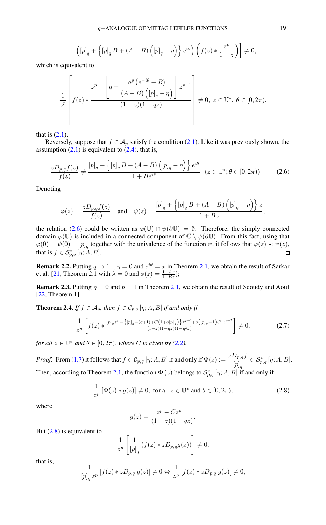$$
-\left([p]_q + \left\{ [p]_q B + (A-B) ([p]_q - \eta) \right\} e^{i\theta} \right) (f(z) * \frac{z^p}{1-z}) \neq 0,
$$

which is equivalent to

$$
\frac{1}{z^p}\left[f(z) * \frac{z^p - \left[q + \frac{q^p\left(e^{-i\theta} + B\right)}{(A-B)\left([p]_q - \eta\right)}\right]z^{p+1}}{(1-z)(1-qz)}\right] \neq 0, \ z \in \mathbb{U}^*, \ \theta \in [0, 2\pi),
$$

that is  $(2.1)$ .

Reversely, suppose that  $f \in A_p$  satisfy the condition [\(2.1\)](#page-3-0). Like it was previously shown, the assumption  $(2.1)$  is equivalent to  $(2.4)$ , that is,

<span id="page-4-0"></span>
$$
\frac{zD_{p,q}f(z)}{f(z)} \neq \frac{[p]_q + \left\{ [p]_q B + (A - B) \left( [p]_q - \eta \right) \right\} e^{i\theta}}{1 + Be^{i\theta}} \quad (z \in \mathbb{U}^*; \theta \in [0, 2\pi)). \tag{2.6}
$$

Denoting

$$
\varphi(z) = \frac{zD_{p,q}f(z)}{f(z)} \quad \text{and} \quad \psi(z) = \frac{[p]_q + \left\{ [p]_q B + (A-B) \left( [p]_q - \eta \right) \right\} z}{1 + Bz},
$$

the relation [\(2.6\)](#page-4-0) could be written as  $\varphi(\mathbb{U}) \cap \psi(\partial \mathbb{U}) = \emptyset$ . Therefore, the simply connected domain  $\varphi(\mathbb{U})$  is included in a connected component of  $\mathbb{C} \setminus \psi(\partial \mathbb{U})$ . From this fact, using that  $\varphi(0) = \psi(0) = [p]_q$  together with the univalence of the function  $\psi$ , it follows that  $\varphi(z) \prec \psi(z)$ , that is  $f \in \mathcal{S}_{p,q}^*$  [ $\eta$ ; A, B].  $\Box$ 

**Remark 2.2.** Putting  $q \to 1^-$ ,  $\eta = 0$  and  $e^{i\theta} = x$  in Theorem [2.1,](#page-3-4) we obtain the result of Sarkar et al. [\[21,](#page-7-15) Theorem 2.1 with  $\lambda = 0$  and  $\phi(z) = \frac{1 + Az}{1 + Bz}$ ];

**Remark 2.3.** Putting  $\eta = 0$  and  $p = 1$  in Theorem [2.1,](#page-3-4) we obtain the result of Seoudy and Aouf [\[22,](#page-7-13) Theorem 1].

<span id="page-4-3"></span>**Theorem 2.4.** *If*  $f \in A_p$ , then  $f \in C_{p,q}$  [ $\eta$ ; A, B] *if and only if* 

<span id="page-4-2"></span>
$$
\frac{1}{z^p} \left[ f(z) * \frac{[p]_q z^p - \{ [p]_q - (q+1) + C \left( 1 + q[p]_q \right) \} z^{p+1} + q \left( [p]_q - 1 \right) C \ z^{p+2}}{(1 - z)(1 - q z)(1 - q^2 z)} \right] \neq 0, \tag{2.7}
$$

*for all*  $z \in \mathbb{U}^*$  *and*  $\theta \in [0, 2\pi)$ *, where C is given by* [\(2.2\)](#page-3-5)*.* 

*Proof.* From [\(1.7\)](#page-1-3) it follows that  $f \in C_{p,q}$  [ $\eta$ ; A, B] if and only if  $\Phi(z) := \frac{zD_{p,q}f}{|z|}$  $[p]_q$  $\in \mathcal{S}_{p,q}^*$  [ $\eta; A, B$ ]. Then, according to Theorem [2.1,](#page-3-4) the function  $\Phi(z)$  belongs to  $\mathcal{S}_{p,q}^*$  [ $\eta; A, B$ ] if and only if

$$
\frac{1}{z^p} \left[ \Phi(z) * g(z) \right] \neq 0, \text{ for all } z \in \mathbb{U}^* \text{ and } \theta \in [0, 2\pi), \tag{2.8}
$$

where

<span id="page-4-1"></span>
$$
g(z) = \frac{z^p - Cz^{p+1}}{(1-z)(1-qz)}.
$$

But  $(2.8)$  is equivalent to

$$
\frac{1}{z^p} \left[ \frac{1}{[p]_q} \left( f(z) * z D_{p,q} g(z) \right) \right] \neq 0,
$$

that is,

$$
\frac{1}{[p]_q z^p} [f(z) * zD_{p,q} g(z)] \neq 0 \Leftrightarrow \frac{1}{z^p} [f(z) * zD_{p,q} g(z)] \neq 0,
$$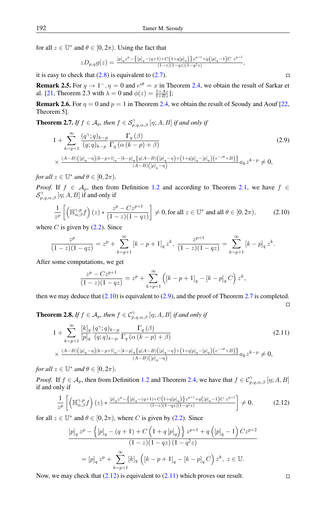for all  $z \in \mathbb{U}^*$  and  $\theta \in [0, 2\pi)$ . Using the fact that

$$
zD_{p,q}g(z) = \frac{[p]_q z^p - \{[p]_q - (q+1) + C(1+q[p]_q)\} z^{p+1} + q([p]_q - 1)C z^{p+2}}{(1-z)(1-qz)(1-q^2z)},
$$

it is easy to check that  $(2.8)$  is equivalent to  $(2.7)$ .

**Remark 2.5.** For  $q \to 1^-$ ,  $\eta = 0$  and  $e^{i\theta} = x$  in Theorem [2.4,](#page-4-3) we obtain the result of Sarkar et al. [\[21,](#page-7-15) Theorem 2.3 with  $\lambda = 0$  and  $\phi(z) = \frac{1+A\overline{z}}{1+B\overline{z}}$ ];

**Remark 2.6.** For  $\eta = 0$  and  $p = 1$  in Theorem [2.4,](#page-4-3) we obtain the result of Seoudy and Aouf [\[22,](#page-7-13) Theorem 5].

<span id="page-5-2"></span>**Theorem 2.7.** *If*  $f \in A_p$ , then  $f \in S_{p,q,\alpha,\beta}^{\gamma}$  [ $\eta; A, B$ ] *if and only if* 

$$
1 + \sum_{k=p+1}^{\infty} \frac{(q^{\gamma};q)_{k-p}}{(q;q)_{k-p}} \frac{\Gamma_q(\beta)}{\Gamma_q(\alpha(k-p)+\beta)} \tag{2.9}
$$
  
 
$$
\times \frac{(A-B)([p]_q - \eta)[k-p+1]_q - [k-p]_q \{q(A-B)([p]_q - \eta) + (1+q[p]_q - [p]_q)(e^{-i\theta} + B)\}}{(A-B)([p]_q - \eta)} a_k z^{k-p} \neq 0,
$$

*for all*  $z \in \mathbb{U}^*$  *and*  $\theta \in [0, 2\pi)$ *.* 

*Proof.* If  $f \in A_p$ , then from Definition [1.2](#page-3-6) and according to Theorem [2.1,](#page-3-4) we have  $f \in$  $\mathcal{S}_{p,q,\alpha,\beta}^{\gamma}$   $[\eta;A,B]$  if and only if

<span id="page-5-0"></span>
$$
\frac{1}{z^p} \left[ \left( \mathbb{H}_{\alpha,\beta}^{\gamma,p} f \right) (z) * \frac{z^p - C z^{p+1}}{(1 - z)(1 - qz)} \right] \neq 0, \text{ for all } z \in \mathbb{U}^* \text{ and all } \theta \in [0, 2\pi), \tag{2.10}
$$

where C is given by  $(2.2)$ . Since

$$
\frac{z^p}{(1-z)(1-qz)} = z^p + \sum_{k=p+1}^{\infty} \left[ k - p + 1 \right]_q z^k, \quad \frac{z^{p+1}}{(1-z)(1-qz)} = \sum_{k=p+1}^{\infty} \left[ k - p \right]_q z^k.
$$

After some computations, we get

$$
\frac{z^p - Cz^{p+1}}{(1-z)(1-qz)} = z^p + \sum_{k=p+1}^{\infty} \left( [k-p+1]_q - [k-p]_q C \right) z^k,
$$

then we may deduce that  $(2.10)$  is equivalent to  $(2.9)$ , and the proof of Theorem [2.7](#page-5-2) is completed.

**Theorem 2.8.** *If*  $f \in A_p$ , then  $f \in C_{p,q,\alpha,\beta}^{\gamma}$  [ $\eta$ ; A, B] *if and only if* 

$$
1 + \sum_{k=p+1}^{\infty} \frac{[k]_q (q^{\gamma}; q)_{k-p}}{[p]_q (q; q)_{k-p}} \frac{\Gamma_q (\beta)}{\Gamma_q (\alpha (k-p) + \beta)} \n\times \frac{(A-B)([p]_q - \eta)[k-p+1]_q - [k-p]_q \{q(A-B)([p]_q - \eta) + (1+q[p]_q - [p]_q)(e^{-i\theta} + B)\}}{A-B)([p]_q - \eta} \n\times \frac{(A-B)([p]_q - \eta)[k-p+1]_q - [k-p]_q \{q(A-B)([p]_q - \eta) + (1+q[p]_q - [p]_q)(e^{-i\theta} + B)\}}{A+B+B}
$$
\n
$$
(2.11)
$$

*for all*  $z \in \mathbb{U}^*$  *and*  $\theta \in [0, 2\pi)$ *.* 

*Proof.* If  $f \in A_p$ , then from Definition [1.2](#page-3-6) and Theorem [2.4,](#page-4-3) we have that  $f \in C_{p,q,\alpha,\beta}^{\gamma}$  [ $\eta; A, B$ ] if and only if

<span id="page-5-3"></span>
$$
\frac{1}{z^p} \left[ \left( \mathbb{H}_{\alpha,\beta}^{\gamma,p} f \right) (z) * \frac{[p]_q z^p - \{ [p]_q - (q+1) + C \left( 1 + q[p]_q \right) \} z^{p+1} + q \left( [p]_q - 1 \right) C z^{p+2}}{(1-z)(1-qz)(1-q^2z)} \right] \neq 0, \tag{2.12}
$$

for all  $z \in \mathbb{U}^*$  and  $\theta \in [0, 2\pi)$ , where C is given by [\(2.2\)](#page-3-5). Since

$$
[p]_q z^p - \left\{ [p]_q - (q+1) + C \left( 1 + q [p]_q \right) \right\} z^{p+1} + q \left( [p]_q - 1 \right) C z^{p+2}
$$
  

$$
(1-z)(1-qz)(1-q^2z)
$$

$$
= [p]_q z^p + \sum_{k=p+1}^{\infty} [k]_q \left( [k-p+1]_q - [k-p]_q C \right) z^k, \ z \in \mathbb{U}.
$$

Now, we may check that  $(2.12)$  is equivalent to  $(2.11)$  which proves our result.

$$
\Box
$$

<span id="page-5-4"></span> $\Box$ 

<span id="page-5-1"></span> $\Box$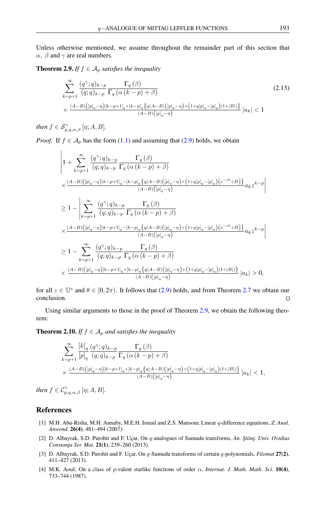Unless otherwise mentioned, we assume throughout the remainder part of this section that  $\alpha$ ,  $\beta$  and  $\gamma$  are real numbers.

<span id="page-6-5"></span>**Theorem 2.9.** *If*  $f \in A_p$  *satisfies the inequality* 

$$
\sum_{k=p+1}^{\infty} \frac{(q^{\gamma};q)_{k-p}}{(q;q)_{k-p}} \frac{\Gamma_q(\beta)}{\Gamma_q(\alpha(k-p)+\beta)} \tag{2.13}
$$
\n
$$
\times \frac{(A-B)([p]_q-\eta)[k-p+1]_q+[k-p]_q\left\{q(A-B)([p]_q-\eta)+(1+q[p]_q-[p]_q)(1+|B|)\right\}}{(A-B)([p]_q-\eta)} |a_k| < 1
$$

*then*  $f \in S^{\gamma}_{p,q,\alpha,\beta}$  [ $\eta; A, B$ ].

*Proof.* If  $f \in A_p$  has the form [\(1.1\)](#page-0-0) and assuming that [\(2.9\)](#page-5-1) holds, we obtain

$$
\begin{split} &\left|1+\sum_{k=p+1}^{\infty}\frac{(q^{\gamma};q)_{k-p}}{(q;q)_{k-p}}\frac{\Gamma_q\left(\beta\right)}{\Gamma_q\left(\alpha\left(k-p\right)+\beta\right)}\right.\\ &\times\frac{(A-B)\left([p]_q-\eta\right)[k-p+1]_q-[k-p]_q\left\{q(A-B)\left([p]_q-\eta\right)+\left(1+q[p]_q-[p]_q\right)\left(e^{-i\theta}+B\right)\right\}}{(A-B)\left([p]_q-\eta\right)}a_kz^{k-p}\right|\\ &\geq1-\left|\sum_{k=p+1}^{\infty}\frac{(q^{\gamma};q)_{k-p}}{(q;q)_{k-p}}\frac{\Gamma_q\left(\beta\right)}{\Gamma_q\left(\alpha\left(k-p\right)+\beta\right)}\\ &\times\frac{(A-B)\left([p]_q-\eta\right)[k-p+1]_q-[k-p]_q\left\{q(A-B)\left([p]_q-\eta\right)+\left(1+q[p]_q-[p]_q\right)\left(e^{-i\theta}+B\right)\right\}}{(A-B)\left([p]_q-\eta\right)}a_kz^{k-p}\right|\\ &\geq1-\sum_{k=p+1}^{\infty}\frac{(q^{\gamma};q)_{k-p}}{(q;q)_{k-p}}\frac{\Gamma_q\left(\beta\right)}{\Gamma_q\left(\alpha\left(k-p\right)+\beta\right)}\\ &\times\frac{(A-B)\left([p]_q-\eta\right)[k-p+1]_q+[k-p]_q\left\{q(A-B)\left([p]_q-\eta\right)+\left(1+q[p]_q-[p]_q\right)\left(1+|B|\right)\right\}}{(A-B)\left([p]_q-\eta\right)}\left|a_k\right|>0, \end{split}
$$

for all  $z \in \mathbb{U}^*$  and  $\theta \in [0, 2\pi)$ . It follows that [\(2.9\)](#page-5-1) holds, and from Theorem [2.7](#page-5-2) we obtain our conclusion.  $\Box$ 

Using similar arguments to those in the proof of Theorem [2.9,](#page-6-5) we obtain the following theorem:

**Theorem 2.10.** *If*  $f \in A_p$  *and satisfies the inequality* 

$$
\sum_{k=p+1}^{\infty} \frac{[k]_q (q^{\gamma}; q)_{k-p}}{[p]_q (q; q)_{k-p}} \frac{\Gamma_q (\beta)}{\Gamma_q (\alpha (k-p)+\beta)} \times \frac{(A-B) ([p]_q - \eta)[k-p+1]_q + [k-p]_q {q(A-B) ([p]_q - \eta) + \left(1+q[p]_q - [p]_q\right)(1+|B|) \} }}{(A-B) ([p]_q - \eta)} |a_k| < 1,
$$

*then*  $f \in C_{p,q,\alpha,\beta}^{\gamma}$  [ $\eta; A, B$ ].

## <span id="page-6-0"></span>References

- <span id="page-6-1"></span>[1] M.H. Abu-Risha, M.H. Annaby, M.E.H. Ismail and Z.S. Mansour, Linear q-difference equations, *Z. Anal. Anwend.* 26(4), 481–494 (2007).
- <span id="page-6-2"></span>[2] D. Albayrak, S.D. Purohit and F. Uçar, On q-analogues of Sumudu transforms, *An. Ştiinţ. Univ. Ovidius* Constanța Ser. Mat. 21(1), 239-260 (2013).
- <span id="page-6-3"></span>[3] D. Albayrak, S.D. Purohit and F. Uçar, On q-Sumudu transforms of certain q-polynomials, *Filomat* 27(2), 411–427 (2013).
- <span id="page-6-4"></span>[4] M.K. Aouf, On a class of p-valent starlike functions of order α, *Internat. J. Math. Math. Sci.* 10(4), 733–744 (1987).